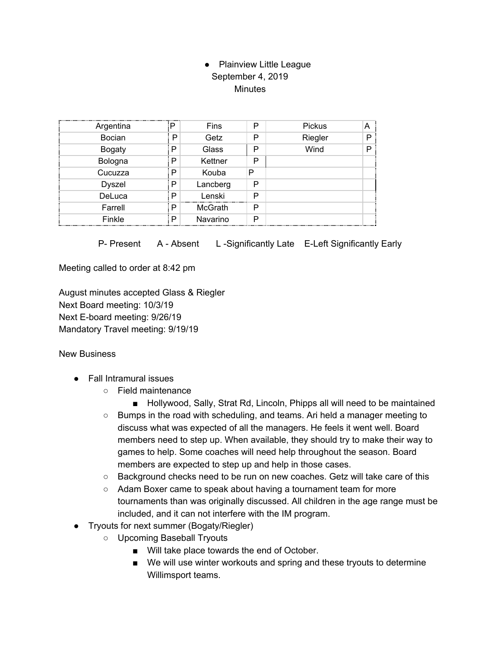## • Plainview Little League September 4, 2019 **Minutes**

| Argentina     | Þ | Fins     | P | Pickus  | А |
|---------------|---|----------|---|---------|---|
| <b>Bocian</b> | P | Getz     | P | Riegler | D |
| <b>Bogaty</b> | P | Glass    | P | Wind    | D |
| Bologna       | P | Kettner  | P |         |   |
| Cucuzza       | P | Kouba    | Р |         |   |
| <b>Dyszel</b> | P | Lancberg | P |         |   |
| DeLuca        | P | Lenski   | P |         |   |
| Farrell       | P | McGrath  | P |         |   |
| Finkle        | P | Navarino | P |         |   |

P- Present A - Absent L-Significantly Late E-Left Significantly Early

Meeting called to order at 8:42 pm

August minutes accepted Glass & Riegler Next Board meeting: 10/3/19 Next E-board meeting: 9/26/19 Mandatory Travel meeting: 9/19/19

New Business

- Fall Intramural issues
	- Field maintenance
	- Hollywood, Sally, Strat Rd, Lincoln, Phipps all will need to be maintained ○ Bumps in the road with scheduling, and teams. Ari held a manager meeting to discuss what was expected of all the managers. He feels it went well. Board members need to step up. When available, they should try to make their way to games to help. Some coaches will need help throughout the season. Board members are expected to step up and help in those cases.
	- Background checks need to be run on new coaches. Getz will take care of this
	- Adam Boxer came to speak about having a tournament team for more tournaments than was originally discussed. All children in the age range must be included, and it can not interfere with the IM program.
- Tryouts for next summer (Bogaty/Riegler)
	- Upcoming Baseball Tryouts
		- Will take place towards the end of October.
		- We will use winter workouts and spring and these tryouts to determine Willimsport teams.